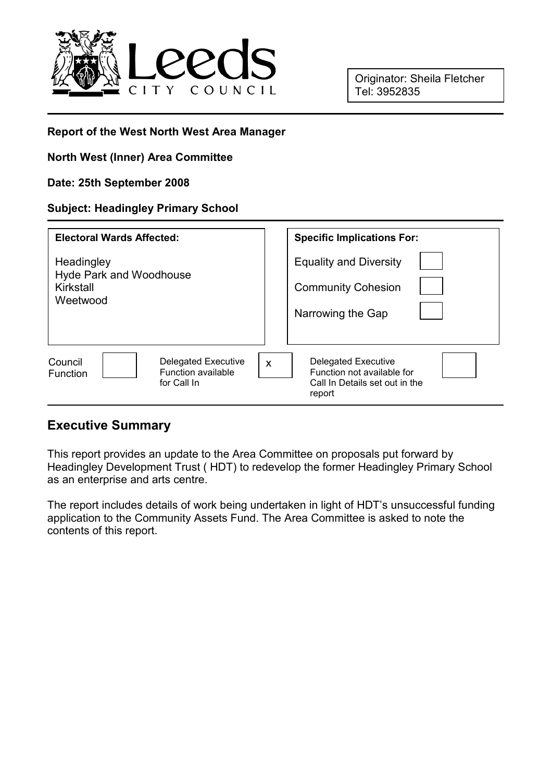

Originator: Sheila Fletcher Tel: 3952835

#### Report of the West North West Area Manager

#### North West (Inner) Area Committee

#### Date: 25th September 2008

#### Subject: Headingley Primary School

| <b>Electoral Wards Affected:</b>                                                              | <b>Specific Implications For:</b>                                                                         |
|-----------------------------------------------------------------------------------------------|-----------------------------------------------------------------------------------------------------------|
| Headingley<br><b>Hyde Park and Woodhouse</b><br>Kirkstall<br>Weetwood                         | <b>Equality and Diversity</b><br><b>Community Cohesion</b><br>Narrowing the Gap                           |
| <b>Delegated Executive</b><br>Council<br>Function available<br><b>Function</b><br>for Call In | <b>Delegated Executive</b><br>X<br>Function not available for<br>Call In Details set out in the<br>report |

### Executive Summary

This report provides an update to the Area Committee on proposals put forward by Headingley Development Trust ( HDT) to redevelop the former Headingley Primary School as an enterprise and arts centre.

The report includes details of work being undertaken in light of HDT's unsuccessful funding application to the Community Assets Fund. The Area Committee is asked to note the contents of this report.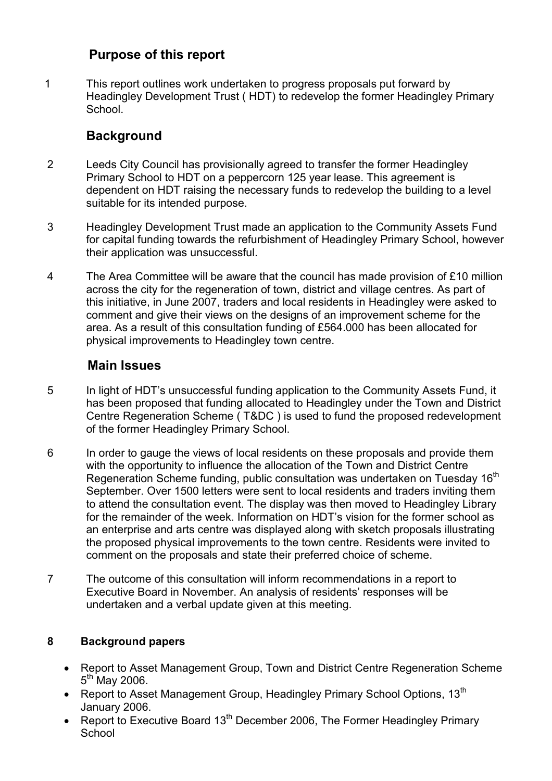## Purpose of this report

1 This report outlines work undertaken to progress proposals put forward by Headingley Development Trust ( HDT) to redevelop the former Headingley Primary School.

## **Background**

- 2 Leeds City Council has provisionally agreed to transfer the former Headingley Primary School to HDT on a peppercorn 125 year lease. This agreement is dependent on HDT raising the necessary funds to redevelop the building to a level suitable for its intended purpose.
- 3 Headingley Development Trust made an application to the Community Assets Fund for capital funding towards the refurbishment of Headingley Primary School, however their application was unsuccessful.
- 4 The Area Committee will be aware that the council has made provision of £10 million across the city for the regeneration of town, district and village centres. As part of this initiative, in June 2007, traders and local residents in Headingley were asked to comment and give their views on the designs of an improvement scheme for the area. As a result of this consultation funding of £564.000 has been allocated for physical improvements to Headingley town centre.

## Main Issues

- 5 In light of HDT's unsuccessful funding application to the Community Assets Fund, it has been proposed that funding allocated to Headingley under the Town and District Centre Regeneration Scheme ( T&DC ) is used to fund the proposed redevelopment of the former Headingley Primary School.
- 6 In order to gauge the views of local residents on these proposals and provide them with the opportunity to influence the allocation of the Town and District Centre Regeneration Scheme funding, public consultation was undertaken on Tuesdav 16<sup>th</sup> September. Over 1500 letters were sent to local residents and traders inviting them to attend the consultation event. The display was then moved to Headingley Library for the remainder of the week. Information on HDT's vision for the former school as an enterprise and arts centre was displayed along with sketch proposals illustrating the proposed physical improvements to the town centre. Residents were invited to comment on the proposals and state their preferred choice of scheme.
- 7 The outcome of this consultation will inform recommendations in a report to Executive Board in November. An analysis of residents' responses will be undertaken and a verbal update given at this meeting.

### 8 Background papers

- Report to Asset Management Group, Town and District Centre Regeneration Scheme 5<sup>th</sup> May 2006.
- Report to Asset Management Group, Headingley Primary School Options,  $13<sup>th</sup>$ January 2006.
- Report to Executive Board 13<sup>th</sup> December 2006, The Former Headingley Primary **School**